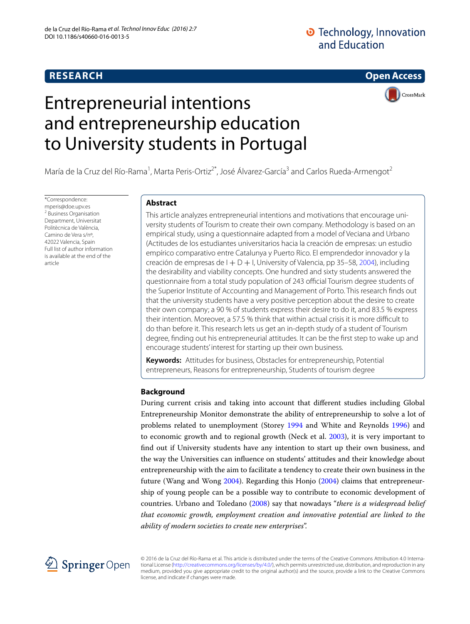# **RESEARCH**

# O Technology, Innovation and Education

**Open Access**

# Entrepreneurial intentions and entrepreneurship education to University students in Portugal



María de la Cruz del Río-Rama<sup>1</sup>, Marta Peris-Ortiz<sup>2\*</sup>, José Álvarez-García<sup>3</sup> and Carlos Rueda-Armengot<sup>2</sup>

\*Correspondence: mperis@doe.upv.es 2 Business Organisation Department, Universitat Politècnica de València, Camino de Vera s/nº, 42022 Valencia, Spain Full list of author information is available at the end of the article

# **Abstract**

This article analyzes entrepreneurial intentions and motivations that encourage university students of Tourism to create their own company. Methodology is based on an empirical study, using a questionnaire adapted from a model of Veciana and Urbano (Actitudes de los estudiantes universitarios hacia la creación de empresas: un estudio empírico comparativo entre Catalunya y Puerto Rico. El emprendedor innovador y la creación de empresas de  $I + D + I$ , University of Valencia, pp 35–58, [2004\)](#page-10-4), including the desirability and viability concepts. One hundred and sixty students answered the questionnaire from a total study population of 243 official Tourism degree students of the Superior Institute of Accounting and Management of Porto. This research finds out that the university students have a very positive perception about the desire to create their own company; a 90 % of students express their desire to do it, and 83.5 % express their intention. Moreover, a 57.5 % think that within actual crisis it is more difficult to do than before it. This research lets us get an in-depth study of a student of Tourism degree, finding out his entrepreneurial attitudes. It can be the first step to wake up and encourage students' interest for starting up their own business.

**Keywords:** Attitudes for business, Obstacles for entrepreneurship, Potential entrepreneurs, Reasons for entrepreneurship, Students of tourism degree

# **Background**

During current crisis and taking into account that different studies including Global Entrepreneurship Monitor demonstrate the ability of entrepreneurship to solve a lot of problems related to unemployment (Storey [1994](#page-10-0) and White and Reynolds [1996](#page-10-1)) and to economic growth and to regional growth (Neck et al. [2003\)](#page-9-0), it is very important to find out if University students have any intention to start up their own business, and the way the Universities can influence on students' attitudes and their knowledge about entrepreneurship with the aim to facilitate a tendency to create their own business in the future (Wang and Wong [2004](#page-10-2)). Regarding this Honjo ([2004](#page-9-1)) claims that entrepreneurship of young people can be a possible way to contribute to economic development of countries. Urbano and Toledano [\(2008\)](#page-10-3) say that nowadays "*there is a widespread belief that economic growth, employment creation and innovative potential are linked to the ability of modern societies to create new enterprises*".



© 2016 de la Cruz del Río-Rama et al. This article is distributed under the terms of the Creative Commons Attribution 4.0 Interna‑ tional License (<http://creativecommons.org/licenses/by/4.0/>), which permits unrestricted use, distribution, and reproduction in any medium, provided you give appropriate credit to the original author(s) and the source, provide a link to the Creative Commons license, and indicate if changes were made.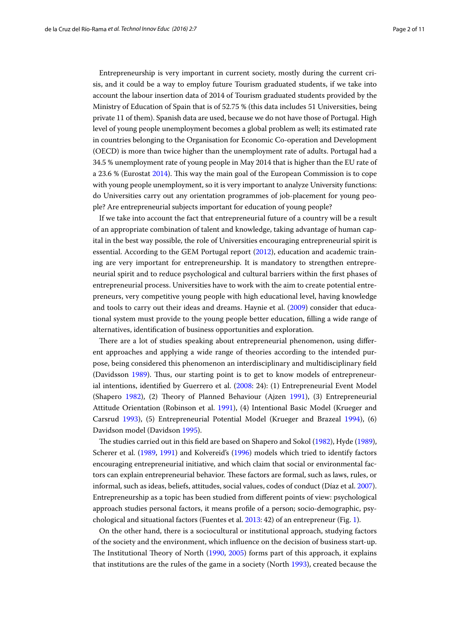Entrepreneurship is very important in current society, mostly during the current crisis, and it could be a way to employ future Tourism graduated students, if we take into account the labour insertion data of 2014 of Tourism graduated students provided by the Ministry of Education of Spain that is of 52.75 % (this data includes 51 Universities, being private 11 of them). Spanish data are used, because we do not have those of Portugal. High level of young people unemployment becomes a global problem as well; its estimated rate in countries belonging to the Organisation for Economic Co-operation and Development (OECD) is more than twice higher than the unemployment rate of adults. Portugal had a 34.5 % unemployment rate of young people in May 2014 that is higher than the EU rate of a 23.6 % (Eurostat [2014\)](#page-9-2). This way the main goal of the European Commission is to cope with young people unemployment, so it is very important to analyze University functions: do Universities carry out any orientation programmes of job-placement for young people? Are entrepreneurial subjects important for education of young people?

If we take into account the fact that entrepreneurial future of a country will be a result of an appropriate combination of talent and knowledge, taking advantage of human capital in the best way possible, the role of Universities encouraging entrepreneurial spirit is essential. According to the GEM Portugal report [\(2012\)](#page-9-3), education and academic training are very important for entrepreneurship. It is mandatory to strengthen entrepreneurial spirit and to reduce psychological and cultural barriers within the first phases of entrepreneurial process. Universities have to work with the aim to create potential entrepreneurs, very competitive young people with high educational level, having knowledge and tools to carry out their ideas and dreams. Haynie et al. [\(2009](#page-9-4)) consider that educational system must provide to the young people better education, filling a wide range of alternatives, identification of business opportunities and exploration.

There are a lot of studies speaking about entrepreneurial phenomenon, using different approaches and applying a wide range of theories according to the intended purpose, being considered this phenomenon an interdisciplinary and multidisciplinary field (Davidsson [1989\)](#page-9-5). Thus, our starting point is to get to know models of entrepreneurial intentions, identified by Guerrero et al. [\(2008](#page-9-6): 24): (1) Entrepreneurial Event Model (Shapero [1982\)](#page-10-5), (2) Theory of Planned Behaviour (Ajzen [1991\)](#page-9-7), (3) Entrepreneurial Attitude Orientation (Robinson et al. [1991\)](#page-10-6), (4) Intentional Basic Model (Krueger and Carsrud [1993](#page-9-8)), (5) Entrepreneurial Potential Model (Krueger and Brazeal [1994](#page-9-9)), (6) Davidson model (Davidson [1995](#page-9-10)).

The studies carried out in this field are based on Shapero and Sokol [\(1982\)](#page-10-7), Hyde ([1989](#page-9-11)), Scherer et al. ([1989](#page-10-8), [1991\)](#page-10-9) and Kolvereid's [\(1996\)](#page-9-12) models which tried to identify factors encouraging entrepreneurial initiative, and which claim that social or environmental factors can explain entrepreneurial behavior. These factors are formal, such as laws, rules, or informal, such as ideas, beliefs, attitudes, social values, codes of conduct (Díaz et al. [2007](#page-9-13)). Entrepreneurship as a topic has been studied from different points of view: psychological approach studies personal factors, it means profile of a person; socio-demographic, psychological and situational factors (Fuentes et al. [2013](#page-9-14): 42) of an entrepreneur (Fig. [1](#page-2-0)).

On the other hand, there is a sociocultural or institutional approach, studying factors of the society and the environment, which influence on the decision of business start-up. The Institutional Theory of North ([1990](#page-9-15), [2005](#page-9-16)) forms part of this approach, it explains that institutions are the rules of the game in a society (North [1993\)](#page-9-17), created because the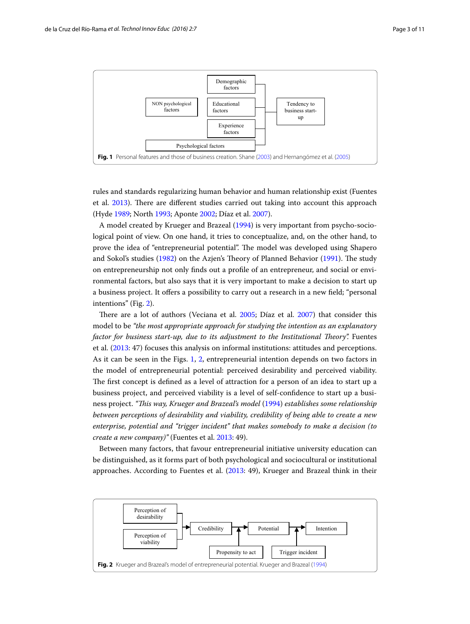

<span id="page-2-0"></span>rules and standards regularizing human behavior and human relationship exist (Fuentes et al. [2013\)](#page-9-14). There are different studies carried out taking into account this approach (Hyde [1989](#page-9-11); North [1993](#page-9-17); Aponte [2002;](#page-9-18) Díaz et al. [2007\)](#page-9-13).

A model created by Krueger and Brazeal [\(1994](#page-9-9)) is very important from psycho-sociological point of view. On one hand, it tries to conceptualize, and, on the other hand, to prove the idea of "entrepreneurial potential". The model was developed using Shapero and Sokol's studies [\(1982\)](#page-10-7) on the Azjen's Theory of Planned Behavior [\(1991](#page-9-7)). The study on entrepreneurship not only finds out a profile of an entrepreneur, and social or environmental factors, but also says that it is very important to make a decision to start up a business project. It offers a possibility to carry out a research in a new field; "personal intentions" (Fig. [2](#page-2-1)).

There are a lot of authors (Veciana et al. [2005](#page-10-10); Díaz et al. [2007\)](#page-9-13) that consider this model to be *"the most appropriate approach for studying the intention as an explanatory factor for business start*-*up, due to its adjustment to the Institutional Theory".* Fuentes et al. [\(2013:](#page-9-14) 47) focuses this analysis on informal institutions: attitudes and perceptions. As it can be seen in the Figs. [1](#page-2-0), [2,](#page-2-1) entrepreneurial intention depends on two factors in the model of entrepreneurial potential: perceived desirability and perceived viability. The first concept is defined as a level of attraction for a person of an idea to start up a business project, and perceived viability is a level of self-confidence to start up a business project. *"This way, Krueger and Brazeal's model* ([1994](#page-9-9)) *establishes some relationship between perceptions of desirability and viability, credibility of being able to create a new enterprise, potential and "trigger incident" that makes somebody to make a decision (to create a new company)"* (Fuentes et al. [2013](#page-9-14): 49).

Between many factors, that favour entrepreneurial initiative university education can be distinguished, as it forms part of both psychological and sociocultural or institutional approaches. According to Fuentes et al. [\(2013:](#page-9-14) 49), Krueger and Brazeal think in their

<span id="page-2-1"></span>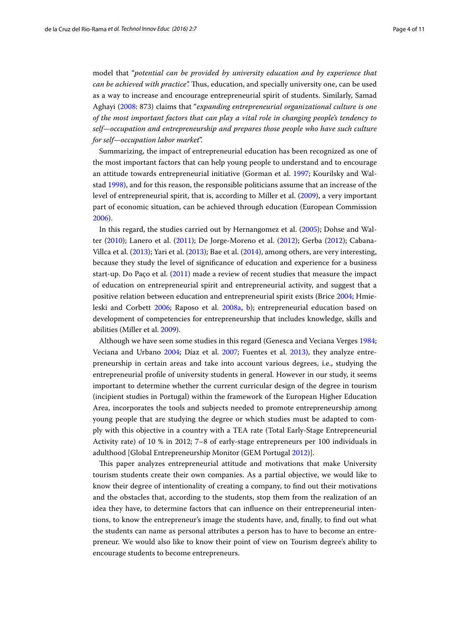model that "*potential can be provided by university education and by experience that can be achieved with practice".* Thus, education, and specially university one, can be used as a way to increase and encourage entrepreneurial spirit of students. Similarly, Samad Aghayi [\(2008:](#page-10-12) 873) claims that "*expanding entrepreneurial organizational culture is one of the most important factors that can play a vital role in changing people's tendency to self—occupation and entrepreneurship and prepares those people who have such culture for self—occupation labor market*".

Summarizing, the impact of entrepreneurial education has been recognized as one of the most important factors that can help young people to understand and to encourage an attitude towards entrepreneurial initiative (Gorman et al. [1997](#page-9-20); Kourilsky and Walstad [1998\)](#page-9-21), and for this reason, the responsible politicians assume that an increase of the level of entrepreneurial spirit, that is, according to Miller et al. ([2009](#page-9-22)), a very important part of economic situation, can be achieved through education (European Commission [2006](#page-9-23)).

In this regard, the studies carried out by Hernangomez et al. [\(2005](#page-9-19)); Dohse and Walter ([2010](#page-9-24)); Lanero et al. [\(2011\)](#page-9-25); De Jorge-Moreno et al. [\(2012](#page-9-26)); Gerba ([2012](#page-9-27)); Cabana-Villca et al. ([2013\)](#page-9-28); Yari et al. ([2013](#page-10-13)); Bae et al. [\(2014\)](#page-9-29), among others, are very interesting, because they study the level of significance of education and experience for a business start-up. Do Paço et al. ([2011](#page-9-30)) made a review of recent studies that measure the impact of education on entrepreneurial spirit and entrepreneurial activity, and suggest that a positive relation between education and entrepreneurial spirit exists (Brice [2004](#page-9-31); Hmieleski and Corbett [2006](#page-9-32); Raposo et al. [2008a,](#page-10-14) [b](#page-9-33)); entrepreneurial education based on development of competencies for entrepreneurship that includes knowledge, skills and abilities (Miller et al. [2009](#page-9-22)).

Although we have seen some studies in this regard (Genesca and Veciana Verges [1984](#page-9-34); Veciana and Urbano [2004;](#page-10-4) Díaz et al. [2007](#page-9-13); Fuentes et al. [2013](#page-9-14)), they analyze entrepreneurship in certain areas and take into account various degrees, i.e., studying the entrepreneurial profile of university students in general. However in our study, it seems important to determine whether the current curricular design of the degree in tourism (incipient studies in Portugal) within the framework of the European Higher Education Area, incorporates the tools and subjects needed to promote entrepreneurship among young people that are studying the degree or which studies must be adapted to comply with this objective in a country with a TEA rate (Total Early-Stage Entrepreneurial Activity rate) of 10 % in 2012; 7–8 of early-stage entrepreneurs per 100 individuals in adulthood [Global Entrepreneurship Monitor (GEM Portugal [2012\)](#page-9-3)].

This paper analyzes entrepreneurial attitude and motivations that make University tourism students create their own companies. As a partial objective, we would like to know their degree of intentionality of creating a company, to find out their motivations and the obstacles that, according to the students, stop them from the realization of an idea they have, to determine factors that can influence on their entrepreneurial intentions, to know the entrepreneur's image the students have, and, finally, to find out what the students can name as personal attributes a person has to have to become an entrepreneur. We would also like to know their point of view on Tourism degree's ability to encourage students to become entrepreneurs.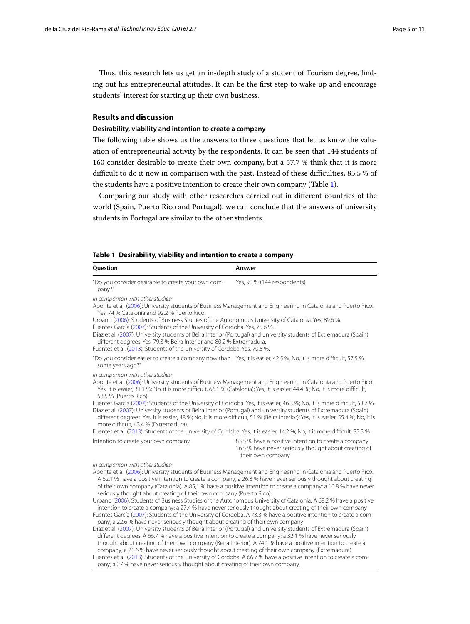Thus, this research lets us get an in-depth study of a student of Tourism degree, finding out his entrepreneurial attitudes. It can be the first step to wake up and encourage students' interest for starting up their own business.

# **Results and discussion**

# **Desirability, viability and intention to create a company**

The following table shows us the answers to three questions that let us know the valuation of entrepreneurial activity by the respondents. It can be seen that 144 students of 160 consider desirable to create their own company, but a 57.7 % think that it is more difficult to do it now in comparison with the past. Instead of these difficulties, 85.5 % of the students have a positive intention to create their own company (Table [1](#page-4-0)).

Comparing our study with other researches carried out in different countries of the world (Spain, Puerto Rico and Portugal), we can conclude that the answers of university students in Portugal are similar to the other students.

<span id="page-4-0"></span>

|  |  | Table 1 Desirability, viability and intention to create a company |  |  |
|--|--|-------------------------------------------------------------------|--|--|
|--|--|-------------------------------------------------------------------|--|--|

| Question                                                                                                                                                                                                                                                                                                                                                                                                                                                                                                                                                                                                                                                                                                                                                                                                                                                                              | Answer                                                                                                                                                                                                                                                                                                                                          |
|---------------------------------------------------------------------------------------------------------------------------------------------------------------------------------------------------------------------------------------------------------------------------------------------------------------------------------------------------------------------------------------------------------------------------------------------------------------------------------------------------------------------------------------------------------------------------------------------------------------------------------------------------------------------------------------------------------------------------------------------------------------------------------------------------------------------------------------------------------------------------------------|-------------------------------------------------------------------------------------------------------------------------------------------------------------------------------------------------------------------------------------------------------------------------------------------------------------------------------------------------|
| "Do you consider desirable to create your own com-<br>pany?"                                                                                                                                                                                                                                                                                                                                                                                                                                                                                                                                                                                                                                                                                                                                                                                                                          | Yes, 90 % (144 respondents)                                                                                                                                                                                                                                                                                                                     |
| In comparison with other studies:<br>Yes. 74 % Catalonia and 92.2 % Puerto Rico.<br>Urbano (2006): Students of Business Studies of the Autonomous University of Catalonia. Yes, 89.6 %.<br>Fuentes García (2007): Students of the University of Cordoba. Yes, 75.6 %.<br>Díaz et al. (2007): University students of Beira Interior (Portugal) and university students of Extremadura (Spain)<br>different degrees. Yes, 79.3 % Beira Interior and 80.2 % Extremadura.<br>Fuentes et al. (2013): Students of the University of Cordoba. Yes, 70.5 %.                                                                                                                                                                                                                                                                                                                                   | Aponte et al. (2006): University students of Business Management and Engineering in Catalonia and Puerto Rico.                                                                                                                                                                                                                                  |
| "Do you consider easier to create a company now than Yes, it is easier, 42.5 %. No, it is more difficult, 57.5 %.<br>some years ago?"                                                                                                                                                                                                                                                                                                                                                                                                                                                                                                                                                                                                                                                                                                                                                 |                                                                                                                                                                                                                                                                                                                                                 |
| In comparison with other studies:<br>Yes, it is easier, 31.1 %; No, it is more difficult, 66.1 % (Catalonia); Yes, it is easier, 44.4 %; No, it is more difficult,<br>53,5 % (Puerto Rico).                                                                                                                                                                                                                                                                                                                                                                                                                                                                                                                                                                                                                                                                                           | Aponte et al. (2006): University students of Business Management and Engineering in Catalonia and Puerto Rico.                                                                                                                                                                                                                                  |
| Díaz et al. (2007): University students of Beira Interior (Portugal) and university students of Extremadura (Spain)<br>more difficult, 43.4 % (Extremadura).                                                                                                                                                                                                                                                                                                                                                                                                                                                                                                                                                                                                                                                                                                                          | Fuentes García (2007): Students of the University of Cordoba. Yes, it is easier, 46.3 %; No, it is more difficult, 53.7 %<br>different degrees. Yes, it is easier, 48 %; No, it is more difficult, 51 % (Beira Interior); Yes, it is easier, 55.4 %; No, it is                                                                                  |
| Fuentes et al. (2013): Students of the University of Cordoba. Yes, it is easier, 14.2 %; No, it is more difficult, 85.3 %                                                                                                                                                                                                                                                                                                                                                                                                                                                                                                                                                                                                                                                                                                                                                             |                                                                                                                                                                                                                                                                                                                                                 |
| Intention to create your own company                                                                                                                                                                                                                                                                                                                                                                                                                                                                                                                                                                                                                                                                                                                                                                                                                                                  | 83.5 % have a positive intention to create a company<br>16.5 % have never seriously thought about creating of<br>their own company                                                                                                                                                                                                              |
| In comparison with other studies:<br>seriously thought about creating of their own company (Puerto Rico).                                                                                                                                                                                                                                                                                                                                                                                                                                                                                                                                                                                                                                                                                                                                                                             | Aponte et al. (2006): University students of Business Management and Engineering in Catalonia and Puerto Rico.<br>A 62.1 % have a positive intention to create a company; a 26.8 % have never seriously thought about creating<br>of their own company (Catalonia). A 85,1 % have a positive intention to create a company; a 10.8 % have never |
| intention to create a company; a 27.4 % have never seriously thought about creating of their own company<br>pany; a 22.6 % have never seriously thought about creating of their own company<br>Díaz et al. (2007): University students of Beira Interior (Portugal) and university students of Extremadura (Spain)<br>different degrees. A 66.7 % have a positive intention to create a company; a 32.1 % have never seriously<br>thought about creating of their own company (Beira Interior). A 74.1 % have a positive intention to create a<br>company; a 21.6 % have never seriously thought about creating of their own company (Extremadura).<br>$(2012)$ $C_1$ $C_2$ $C_3$ $C_4$ $C_5$ $C_6$ $C_7$ $C_8$ $C_7$ $C_8$ $C_9$ $C_1$ $C_2$ $C_3$ $C_4$ $C_5$ $C_6$ $C_7$ $C_8$ $C_9$ $C_9$ $C_1$ $C_2$ $C_3$ $C_4$ $C_5$ $C_6$ $C_7$ $C_8$ $C_9$ $C_9$ $C_1$ $C_2$ $C_3$ $C_4$ $C$ | Urbano (2006): Students of Business Studies of the Autonomous University of Catalonia. A 68.2 % have a positive<br>Fuentes García (2007): Students of the University of Cordoba. A 73.3 % have a positive intention to create a com-                                                                                                            |

Fuentes et al. [\(2013\)](#page-9-14): Students of the University of Cordoba. A 66.7 % have a positive intention to create a com‑ pany; a 27 % have never seriously thought about creating of their own company.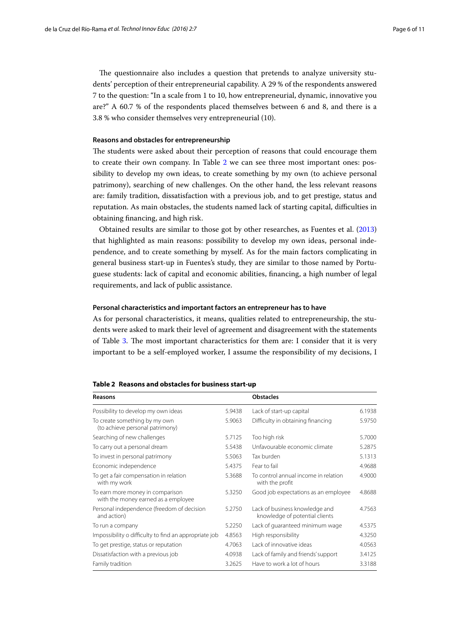The questionnaire also includes a question that pretends to analyze university students' perception of their entrepreneurial capability. A 29 % of the respondents answered 7 to the question: "In a scale from 1 to 10, how entrepreneurial, dynamic, innovative you are?" A 60.7 % of the respondents placed themselves between 6 and 8, and there is a 3.8 % who consider themselves very entrepreneurial (10).

## **Reasons and obstacles for entrepreneurship**

The students were asked about their perception of reasons that could encourage them to create their own company. In Table [2](#page-5-0) we can see three most important ones: possibility to develop my own ideas, to create something by my own (to achieve personal patrimony), searching of new challenges. On the other hand, the less relevant reasons are: family tradition, dissatisfaction with a previous job, and to get prestige, status and reputation. As main obstacles, the students named lack of starting capital, difficulties in obtaining financing, and high risk.

Obtained results are similar to those got by other researches, as Fuentes et al. ([2013](#page-9-14)) that highlighted as main reasons: possibility to develop my own ideas, personal independence, and to create something by myself. As for the main factors complicating in general business start-up in Fuentes's study, they are similar to those named by Portuguese students: lack of capital and economic abilities, financing, a high number of legal requirements, and lack of public assistance.

#### **Personal characteristics and important factors an entrepreneur has to have**

As for personal characteristics, it means, qualities related to entrepreneurship, the students were asked to mark their level of agreement and disagreement with the statements of Table [3](#page-6-0). The most important characteristics for them are: I consider that it is very important to be a self-employed worker, I assume the responsibility of my decisions, I

| Reasons                                                                 |        | <b>Obstacles</b>                                                 |        |
|-------------------------------------------------------------------------|--------|------------------------------------------------------------------|--------|
| Possibility to develop my own ideas                                     | 5.9438 | Lack of start-up capital                                         | 6.1938 |
| To create something by my own<br>(to achieve personal patrimony)        | 5.9063 | Difficulty in obtaining financing                                | 5.9750 |
| Searching of new challenges                                             | 5.7125 | Too high risk                                                    | 5.7000 |
| To carry out a personal dream                                           | 5.5438 | Unfavourable economic climate                                    | 5.2875 |
| To invest in personal patrimony                                         | 5.5063 | Tax burden                                                       | 5.1313 |
| Economic independence                                                   | 5.4375 | Fear to fail                                                     | 4.9688 |
| To get a fair compensation in relation<br>with my work                  | 5.3688 | To control annual income in relation<br>with the profit          | 4.9000 |
| To earn more money in comparison<br>with the money earned as a employee | 5.3250 | Good job expectations as an employee                             | 4.8688 |
| Personal independence (freedom of decision<br>and action)               | 5.2750 | Lack of business knowledge and<br>knowledge of potential clients | 4.7563 |
| To run a company                                                        | 5.2250 | Lack of quaranteed minimum wage                                  | 4.5375 |
| Impossibility o difficulty to find an appropriate job                   | 4.8563 | High responsibility                                              | 4.3250 |
| To get prestige, status or reputation                                   | 4.7063 | Lack of innovative ideas                                         | 4.0563 |
| Dissatisfaction with a previous job                                     | 4.0938 | Lack of family and friends' support                              | 3.4125 |
| Family tradition                                                        | 3.2625 | Have to work a lot of hours                                      | 3.3188 |
|                                                                         |        |                                                                  |        |

<span id="page-5-0"></span>

|  |  | Table 2 Reasons and obstacles for business start-up |  |  |
|--|--|-----------------------------------------------------|--|--|
|--|--|-----------------------------------------------------|--|--|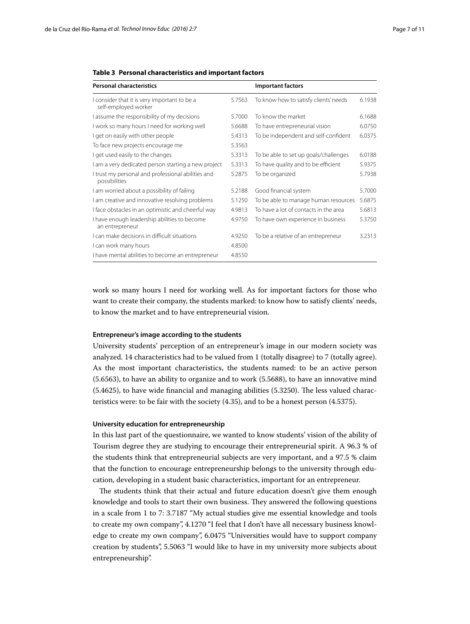possibilities

an entrepreneur

| <b>Personal characteristics</b>                                      |        | <b>Important factors</b>              |        |
|----------------------------------------------------------------------|--------|---------------------------------------|--------|
| I consider that it is very important to be a<br>self-employed worker | 5.7563 | To know how to satisfy clients' needs | 6.1938 |
| I assume the responsibility of my decisions                          | 5.7000 | To know the market                    | 6.1688 |
| I work so many hours I need for working well                         | 5.6688 | To have entrepreneurial vision        | 6.0750 |
| I get on easily with other people                                    | 5.4313 | To be independent and self-confident  | 6.0375 |
| To face new projects encourage me                                    | 5.3563 |                                       |        |
| I get used easily to the changes                                     | 5.3313 | To be able to set up goals/challenges | 6.0188 |

I am a very dedicated person starting a new project 5.3313 To have quality and to be efficient 5.9375

I am worried about a possibility of failing 5.2188 Good financial system 5.7000 I am creative and innovative resolving problems 5.1250 To be able to manage human resources 5.6875 I face obstacles in an optimistic and cheerful way 4.9813 To have a lot of contacts in the area 5.6813

I can make decisions in difficult situations 4.9250 To be a relative of an entrepreneur 3.2313

5.2875 To be organized 5.7938

4.9750 To have own experience in business 5.3750

<span id="page-6-0"></span>**Table 3 Personal characteristics and important factors**

work so many hours I need for working well. As for important factors for those who want to create their company, the students marked: to know how to satisfy clients' needs, to know the market and to have entrepreneurial vision.

## **Entrepreneur's image according to the students**

I can work many hours and the state of the 4.8500 4.8500 I have mental abilities to become an entrepreneur 4.8550

I trust my personal and professional abilities and

I have enough leadership abilities to become

University students' perception of an entrepreneur's image in our modern society was analyzed. 14 characteristics had to be valued from 1 (totally disagree) to 7 (totally agree). As the most important characteristics, the students named: to be an active person (5.6563), to have an ability to organize and to work (5.5688), to have an innovative mind (5.4625), to have wide financial and managing abilities (5.3250). The less valued characteristics were: to be fair with the society (4.35), and to be a honest person (4.5375).

#### **University education for entrepreneurship**

In this last part of the questionnaire, we wanted to know students' vision of the ability of Tourism degree they are studying to encourage their entrepreneurial spirit. A 96.3 % of the students think that entrepreneurial subjects are very important, and a 97.5 % claim that the function to encourage entrepreneurship belongs to the university through education, developing in a student basic characteristics, important for an entrepreneur.

The students think that their actual and future education doesn't give them enough knowledge and tools to start their own business. They answered the following questions in a scale from 1 to 7: 3.7187 "My actual studies give me essential knowledge and tools to create my own company", 4.1270 "I feel that I don't have all necessary business knowledge to create my own company", 6.0475 "Universities would have to support company creation by students", 5.5063 "I would like to have in my university more subjects about entrepreneurship".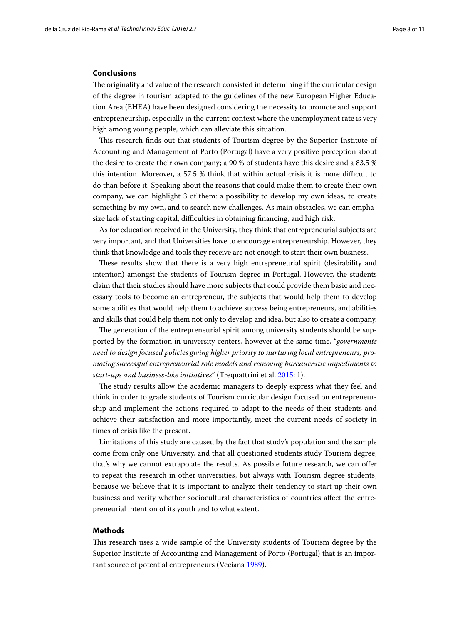# **Conclusions**

The originality and value of the research consisted in determining if the curricular design of the degree in tourism adapted to the guidelines of the new European Higher Education Area (EHEA) have been designed considering the necessity to promote and support entrepreneurship, especially in the current context where the unemployment rate is very high among young people, which can alleviate this situation.

This research finds out that students of Tourism degree by the Superior Institute of Accounting and Management of Porto (Portugal) have a very positive perception about the desire to create their own company; a 90 % of students have this desire and a 83.5 % this intention. Moreover, a 57.5 % think that within actual crisis it is more difficult to do than before it. Speaking about the reasons that could make them to create their own company, we can highlight 3 of them: a possibility to develop my own ideas, to create something by my own, and to search new challenges. As main obstacles, we can emphasize lack of starting capital, difficulties in obtaining financing, and high risk.

As for education received in the University, they think that entrepreneurial subjects are very important, and that Universities have to encourage entrepreneurship. However, they think that knowledge and tools they receive are not enough to start their own business.

These results show that there is a very high entrepreneurial spirit (desirability and intention) amongst the students of Tourism degree in Portugal. However, the students claim that their studies should have more subjects that could provide them basic and necessary tools to become an entrepreneur, the subjects that would help them to develop some abilities that would help them to achieve success being entrepreneurs, and abilities and skills that could help them not only to develop and idea, but also to create a company.

The generation of the entrepreneurial spirit among university students should be supported by the formation in university centers, however at the same time, "*governments need to design focused policies giving higher priority to nurturing local entrepreneurs, promoting successful entrepreneurial role models and removing bureaucratic impediments to start*-*ups and business*-*like initiatives*" (Trequattrini et al. [2015:](#page-10-16) 1).

The study results allow the academic managers to deeply express what they feel and think in order to grade students of Tourism curricular design focused on entrepreneurship and implement the actions required to adapt to the needs of their students and achieve their satisfaction and more importantly, meet the current needs of society in times of crisis like the present.

Limitations of this study are caused by the fact that study's population and the sample come from only one University, and that all questioned students study Tourism degree, that's why we cannot extrapolate the results. As possible future research, we can offer to repeat this research in other universities, but always with Tourism degree students, because we believe that it is important to analyze their tendency to start up their own business and verify whether sociocultural characteristics of countries affect the entrepreneurial intention of its youth and to what extent.

## **Methods**

This research uses a wide sample of the University students of Tourism degree by the Superior Institute of Accounting and Management of Porto (Portugal) that is an important source of potential entrepreneurs (Veciana [1989](#page-10-17)).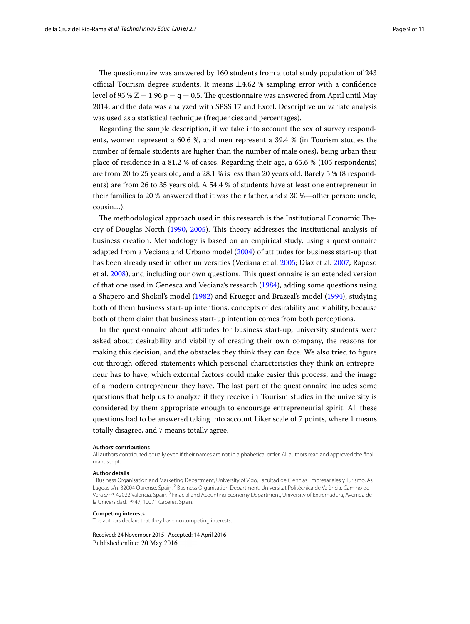The questionnaire was answered by 160 students from a total study population of 243 official Tourism degree students. It means  $\pm 4.62$  % sampling error with a confidence level of 95 %  $Z = 1.96$  p = q = 0,5. The questionnaire was answered from April until May 2014, and the data was analyzed with SPSS 17 and Excel. Descriptive univariate analysis was used as a statistical technique (frequencies and percentages).

Regarding the sample description, if we take into account the sex of survey respondents, women represent a 60.6 %, and men represent a 39.4 % (in Tourism studies the number of female students are higher than the number of male ones), being urban their place of residence in a 81.2 % of cases. Regarding their age, a 65.6 % (105 respondents) are from 20 to 25 years old, and a 28.1 % is less than 20 years old. Barely 5 % (8 respondents) are from 26 to 35 years old. A 54.4 % of students have at least one entrepreneur in their families (a 20 % answered that it was their father, and a 30 %—other person: uncle, cousin…).

The methodological approach used in this research is the Institutional Economic Theory of Douglas North ([1990](#page-9-15), [2005\)](#page-9-16). This theory addresses the institutional analysis of business creation. Methodology is based on an empirical study, using a questionnaire adapted from a Veciana and Urbano model [\(2004\)](#page-10-4) of attitudes for business start-up that has been already used in other universities (Veciana et al. [2005;](#page-10-10) Díaz et al. [2007;](#page-9-13) Raposo et al. [2008\)](#page-10-14), and including our own questions. This questionnaire is an extended version of that one used in Genesca and Veciana's research ([1984](#page-9-34)), adding some questions using a Shapero and Shokol's model [\(1982\)](#page-10-7) and Krueger and Brazeal's model ([1994](#page-9-9)), studying both of them business start-up intentions, concepts of desirability and viability, because both of them claim that business start-up intention comes from both perceptions.

In the questionnaire about attitudes for business start-up, university students were asked about desirability and viability of creating their own company, the reasons for making this decision, and the obstacles they think they can face. We also tried to figure out through offered statements which personal characteristics they think an entrepreneur has to have, which external factors could make easier this process, and the image of a modern entrepreneur they have. The last part of the questionnaire includes some questions that help us to analyze if they receive in Tourism studies in the university is considered by them appropriate enough to encourage entrepreneurial spirit. All these questions had to be answered taking into account Liker scale of 7 points, where 1 means totally disagree, and 7 means totally agree.

#### **Authors' contributions**

All authors contributed equally even if their names are not in alphabetical order. All authors read and approved the final manuscript.

#### **Author details**

<sup>1</sup> Business Organisation and Marketing Department, University of Vigo, Facultad de Ciencias Empresariales y Turismo, As Lagoas s/n, 32004 Ourense, Spain. <sup>2</sup> Business Organisation Department, Universitat Politècnica de València, Camino de Vera s/nº, 42022 Valencia, Spain.<sup>3</sup> Finacial and Acounting Economy Department, University of Extremadura, Avenida de la Universidad, nº 47, 10071 Cáceres, Spain.

#### **Competing interests**

The authors declare that they have no competing interests.

Received: 24 November 2015 Accepted: 14 April 2016Published online: 20 May 2016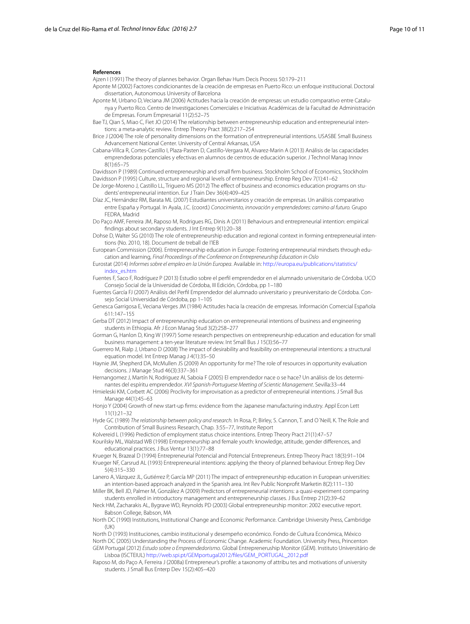#### **References**

<span id="page-9-7"></span>Ajzen I (1991) The theory of plannes behavior. Organ Behav Hum Decis Process 50:179–211

- <span id="page-9-18"></span>Aponte M (2002) Factores condicionantes de la creación de empresas en Puerto Rico: un enfoque institucional. Doctoral dissertation, Autonomous University of Barcelona
- <span id="page-9-35"></span>Aponte M, Urbano D, Veciana JM (2006) Actitudes hacia la creación de empresas: un estudio comparativo entre Catalunya y Puerto Rico. Centro de Investigaciones Comerciales e Iniciativas Académicas de la Facultad de Administración de Empresas. Forum Empresarial 11(2):52–75
- <span id="page-9-29"></span>Bae TJ, Qian S, Miao C, Fiet JO (2014) The relationship between entrepreneurship education and entrepreneurial intentions: a meta-analytic review. Entrep Theory Pract 38(2):217–254
- <span id="page-9-31"></span>Brice J (2004) The role of personality dimensions on the formation of entrepreneurial intentions. USASBE Small Business Advancement National Center. University of Central Arkansas, USA
- <span id="page-9-28"></span>Cabana-Villca R, Cortes-Castillo I, Plaza-Pasten D, Castillo-Vergara M, Alvarez-Marin A (2013) Análisis de las capacidades emprendedoras potenciales y efectivas en alumnos de centros de educación superior. J Technol Manag Innov 8(1):65–75

<span id="page-9-10"></span><span id="page-9-5"></span>Davidsson P (1989) Continued entrepreneurship and small firm business. Stockholm School of Economics, Stockholm Davidsson P (1995) Culture, structure and regional levels of entrepreneurship. Entrep Reg Dev 7(1):41–62

- <span id="page-9-26"></span>De Jorge-Moreno J, Castillo LL, Triguero MS (2012) The effect of business and economics education programs on students' entrepreneurial intention. Eur J Train Dev 36(4):409–425
- <span id="page-9-13"></span>Díaz JC, Hernández RM, Barata ML (2007) Estudiantes universitarios y creación de empresas. Un análisis comparativo entre España y Portugal. In Ayala, J.C. (coord.) *Conocimiento, innovación y emprendedores: camino al futuro.* Grupo FEDRA, Madrid

<span id="page-9-30"></span>Do Paço AMF, Ferreira JM, Raposo M, Rodrigues RG, Dinis A (2011) Behaviours and entrepreneurial intention: empirical findings about secondary students. J Int Entrep 9(1):20–38

- <span id="page-9-24"></span>Dohse D, Walter SG (2010) The role of entrepreneurship education and regional context in forming entrepreneurial intentions (No. 2010, 18). Document de treball de l'IEB
- <span id="page-9-23"></span>European Commission (2006). Entrepreneurship education in Europe: Fostering entrepreneurial mindsets through education and learning, *Final Proceedings of the Conference on Entrepreneurship Education in Oslo*
- <span id="page-9-2"></span>Eurostat (2014) *Informes sobre el empleo en la Unión Europea*. Available in: [http://europa.eu/publications/statistics/](http://europa.eu/publications/statistics/index_es.htm) [index\\_es.htm](http://europa.eu/publications/statistics/index_es.htm)
- <span id="page-9-14"></span>Fuentes F, Saco F, Rodríguez P (2013) Estudio sobre el perfil emprendedor en el alumnado universitario de Córdoba. UCO Consejo Social de la Universidad de Córdoba, III Edición, Córdoba, pp 1–180
- <span id="page-9-36"></span>Fuentes García FJ (2007) Análisis del Perfil Emprendedor del alumnado universitario y preuniversitario de Córdoba. Consejo Social Universidad de Córdoba, pp 1–105
- <span id="page-9-34"></span>Genesca Garrigosa E, Veciana Verges JM (1984) Actitudes hacia la creación de empresas. Información Comercial Española 611:147–155
- <span id="page-9-27"></span>Gerba DT (2012) Impact of entrepreneurship education on entrepreneurial intentions of business and engineering students in Ethiopia. Afr J Econ Manag Stud 3(2):258–277
- <span id="page-9-20"></span>Gorman G, Hanlon D, King W (1997) Some research perspectives on entrepreneurship education and education for small business management: a ten-year literature review. Int Small Bus J 15(3):56–77
- <span id="page-9-6"></span>Guerrero M, Rialp J, Urbano D (2008) The impact of desirability and feasibility on entrepreneurial intentions: a structural equation model. Int Entrep Manag J 4(1):35–50
- <span id="page-9-4"></span>Haynie JM, Shepherd DA, McMullen JS (2009) An opportunity for me? The role of resources in opportunity evaluation decisions. J Manage Stud 46(3):337–361
- <span id="page-9-19"></span>Hernangomez J, Martín N, Rodriguez AI, Saboia F (2005) El emprendedor nace o se hace? Un análisis de los determinantes del espíritu emprendedor. *XVI Spanish*-*Portuguese Meeting of Scientic Management*. Sevilla:33–44
- <span id="page-9-32"></span>Hmieleski KM, Corbett AC (2006) Proclivity for improvisation as a predictor of entrepreneurial intentions. J Small Bus Manage 44(1):45–63
- <span id="page-9-1"></span>Honjo Y (2004) Growth of new start-up firms: evidence from the Japanese manufacturing industry. Appl Econ Lett 11(1):21–32
- <span id="page-9-11"></span>Hyde GC (1989) *The relationship between policy and research.* In Rosa, P.; Birley, S. Cannon, T. and O´Neill, K. The Role and Contribution of Small Business Research, Chap. 3:55–77, Institute Report

<span id="page-9-21"></span><span id="page-9-12"></span>Kolvereid L (1996) Prediction of employment status choice intentions. Entrep Theory Pract 21(1):47–57 Kourilsky ML, Walstad WB (1998) Entrepreneurship and female youth: knowledge, attitude, gender differences, and educational practices. J Bus Ventur 13(1):77–88

<span id="page-9-9"></span><span id="page-9-8"></span>Krueger N, Brazeal D (1994) Entrepreneurial Potencial and Potencial Entrepreneurs. Entrep Theory Pract 18(3):91–104 Krueger NF, Carsrud AL (1993) Entrepreneurial intentions: applying the theory of planned behaviour. Entrep Reg Dev 5(4):315–330

<span id="page-9-25"></span>Lanero A, Vázquez JL, Gutiérrez P, García MP (2011) The impact of entrepreneurship education in European universities: an intention-based approach analyzed in the Spanish area. Int Rev Public Nonprofit Marketin 8(2):111–130

<span id="page-9-22"></span>Miller BK, Bell JD, Palmer M, González A (2009) Predictors of entrepreneurial intentions: a quasi-experiment comparing students enrolled in introductory management and entrepreneurship classes. J Bus Entrep 21(2):39–62

<span id="page-9-0"></span>Neck HM, Zacharakis AL, Bygrave WD, Reynolds PD (2003) Global entrepreneurship monitor: 2002 executive report. Babson College, Babson, MA

<span id="page-9-15"></span>North DC (1990) Institutions, Institutional Change and Economic Performance. Cambridge University Press, Cambridge (UK)

<span id="page-9-17"></span><span id="page-9-16"></span><span id="page-9-3"></span>North D (1993) Instituciones, cambio institucional y desempeño económico. Fondo de Cultura Económica, México North DC (2005) Understanding the Process of Economic Change. Academic Foundation. University Press, Princenton GEM Portugal (2012) *Estudo sobre o Empreendedorismo.* Global Entrepreneruship Monitor (GEM). Instituto Universitário de Lisboa (ISCTEIUL) [http://web.spi.pt/GEMportugal2012/files/GEM\\_PORTUGAL\\_2012.pdf](http://web.spi.pt/GEMportugal2012/files/GEM_PORTUGAL_2012.pdf)

<span id="page-9-33"></span>Raposo M, do Paço A, Ferreira J (2008a) Entrepreneur's profile: a taxonomy of attribu tes and motivations of university students. J Small Bus Enterp Dev 15(2):405–420